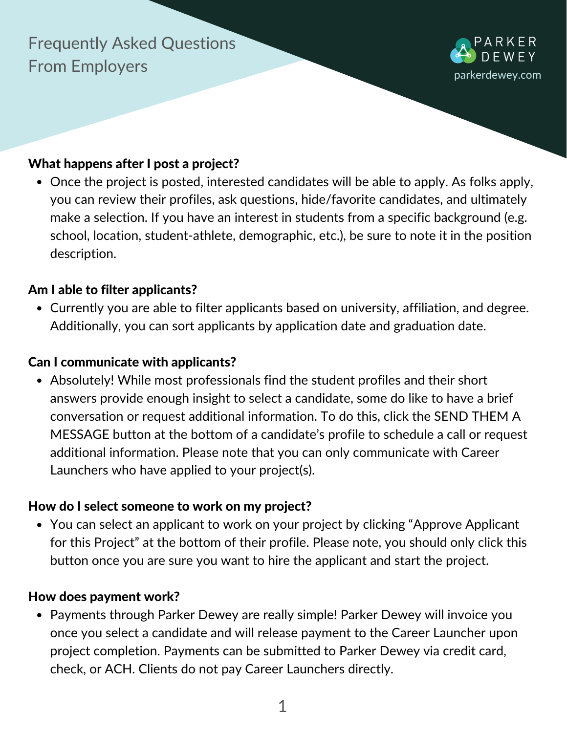# Frequently Asked Questions From Employers



## What happens after I post a project?

Once the project is posted, interested candidates will be able to apply. As folks apply, you can review their profiles, ask questions, hide/favorite candidates, and ultimately make a selection. If you have an interest in students from a specific background (e.g. school, location, student-athlete, demographic, etc.), be sure to note it in the position description.

### Am I able to filter applicants?

Currently you are able to filter applicants based on university, affiliation, and degree. Additionally, you can sort applicants by application date and graduation date.

### Can I communicate with applicants?

Absolutely! While most professionals find the student profiles and their short answers provide enough insight to select a candidate, some do like to have a brief conversation or request additional information. To do this, click the SEND THEM A MESSAGE button at the bottom of a candidate's profile to schedule a call or request additional information. Please note that you can only communicate with Career Launchers who have applied to your project(s).

### How do I select someone to work on my project?

You can select an applicant to work on your project by clicking "Approve Applicant for this Project" at the bottom of their profile. Please note, you should only click this button once you are sure you want to hire the applicant and start the project.

#### How does payment work?

• Payments through Parker Dewey are really simple! Parker Dewey will invoice you once you select a candidate and will release payment to the Career Launcher upon project completion. Payments can be submitted to Parker Dewey via credit card, check, or ACH. Clients do not pay Career Launchers directly.